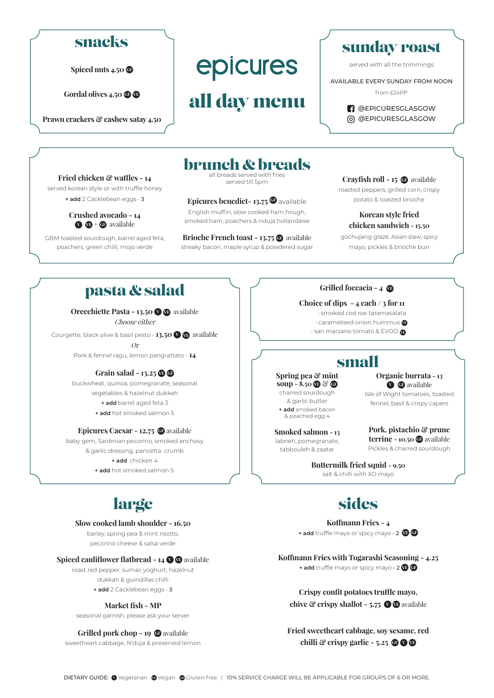### snacks

**Spiced nuts 4.50**  $\textcircled{f}$ 

Gordal olives 4.50  $\bullet$   $\bullet$ 

**Prawn crackers & cashew satay 4.50**

**Fried chicken & waffles - 14** served korean style or with truffle honey **+ add** 2 Cacklebean eggs - 3 **Crushed avocado - 14 V VE + GF** available GBM toasted sourdough, barrel aged feta, poachers, green chilli, mojo verde

# epicures

## all day menu

### sunday roast

served with all the trimmings

AVAILABLE EVERY SUNDAY FROM NOON

from £24PP

**B** @EPICURESGLASGOW @EPICURESGLASGOW

### brunch & breads

all breads served with fries served till 5pm

#### **Epicures benedict-13.75 G** available English muffin, slow cooked ham hough,

smoked ham, poachers & nduja hollandaise

**Brioche French toast - 13.75 <b>G** available streaky bacon, maple syrup & powdered sugar

### **Crayfish roll - 15 Ge** available

roasted peppers, grilled corn, crispy potato & toasted brioche

### **Korean style fried chicken sandwich - 15.50**

gochujang glaze, Asian slaw, spicy mayo, pickles & brioche bun

### pasta & salad

**Orecchiette Pasta - 13.50 <sup>V</sup> VE** available Choose either

Courgette, black olive & basil pesto - **13.50 <sup>V</sup> VE** available Or

Pork & fennel ragu, lemon pangrattato - **14**

#### **Grain salad - 13.25 B G**

buckwheat, quinoa, pomegranate, seasonal vegetables & hazelnut dukkah **+ add** barrel aged feta 3 **+ add** hot smoked salmon 5

#### **Epicures Caesar - 12.75 G** available

baby gem, Sardinian pecorino, smoked anchovy & garlic dressing, pancetta crumb **+ add** chicken 4 **+ add** hot smoked salmon 5

### large

#### **Slow cooked lamb shoulder - 16.50**

barley, spring pea & mint risotto, pecorino cheese & salsa verde

#### **Spiced cauliflower flatbread - 14 <sup>to</sup>** available

roast red pepper, sumac yoghurt, hazelnut dukkah & guindillas chilli

**+ add** 2 Cacklebean eggs - 3

### **Market fish - MP**

seasonal garnish, please ask your server

#### **Grilled pork chop - 19 @** available

sweetheart cabbage, N'duja & preserved lemon

### **Grilled foccacia - 4 VE**

#### **Choice of dips - 4 each / 3 for 11**

• smoked cod roe taramasalata

- caramelised onion hummus **VE**
- san marzano tomato & EVOO **VE**

### small

#### **Spring pea & mint soup - 8.50**  $\textcircled{r}$  **&**  $\textcircled{r}$ charred sourdough

& garlic butter **+ add** smoked bacon & poached egg 4

**Smoked salmon - 13** labneh, pomegranate, tabbouleh & zaatar

**Organic burrata - 13 <sup>V</sup> GF** available Isle of Wight tomatoes, toasted

fennel, basil & crispy capers

**Pork, pistachio & prune terrine - 10.50 G** available Pickles & charred sourdough

**Buttermilk fried squid - 9.50**  salt & chilli with XO mayo

### sides

**Koffmann Fries - 4 + add** truffle mayo or spicy mayo - 2 **VE GF**

**Koffmann Fries with Togarashi Seasoning - 4.25 + add** truffle mayo or spicy mayo - 2 **VE GF**

**Crispy confit potatoes truffle mayo, chive & crispy shallot - 5.75**  $\bullet$  **<b>D** available

**Fried sweetheart cabbage, soy sesame, red chilli**  $\mathscr{C}$  crispy garlic - 5.25  $\mathscr{O}$   $\mathscr{O}$